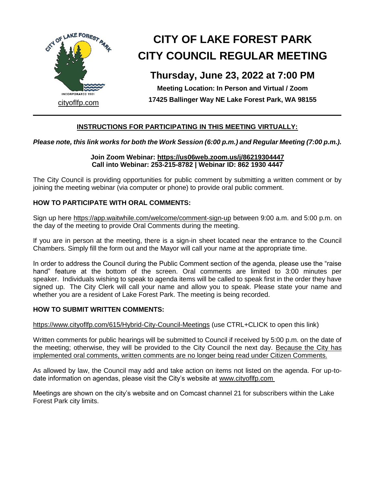

# **CITY OF LAKE FOREST PARK CITY COUNCIL REGULAR MEETING**

# **Thursday, June 23, 2022 at 7:00 PM**

**Meeting Location: In Person and Virtual / Zoom 17425 Ballinger Way NE Lake Forest Park, WA 98155**

# **INSTRUCTIONS FOR PARTICIPATING IN THIS MEETING VIRTUALLY:**

# *Please note, this link works for both the Work Session (6:00 p.m.) and Regular Meeting (7:00 p.m.).*

#### **Join Zoom Webinar: https://us06web.zoom.us/j/86219304447 Call into Webinar: 253-215-8782 | Webinar ID: 862 1930 4447**

The City Council is providing opportunities for public comment by submitting a written comment or by joining the meeting webinar (via computer or phone) to provide oral public comment.

# **HOW TO PARTICIPATE WITH ORAL COMMENTS:**

Sign up here https://app.waitwhile.com/welcome/comment-sign-up between 9:00 a.m. and 5:00 p.m. on the day of the meeting to provide Oral Comments during the meeting.

If you are in person at the meeting, there is a sign-in sheet located near the entrance to the Council Chambers. Simply fill the form out and the Mayor will call your name at the appropriate time.

In order to address the Council during the Public Comment section of the agenda, please use the "raise hand" feature at the bottom of the screen. Oral comments are limited to 3:00 minutes per speaker. Individuals wishing to speak to agenda items will be called to speak first in the order they have signed up. The City Clerk will call your name and allow you to speak. Please state your name and whether you are a resident of Lake Forest Park. The meeting is being recorded.

## **HOW TO SUBMIT WRITTEN COMMENTS:**

https://www.cityoflfp.com/615/Hybrid-City-Council-Meetings (use CTRL+CLICK to open this link)

Written comments for public hearings will be submitted to Council if received by 5:00 p.m. on the date of the meeting; otherwise, they will be provided to the City Council the next day. Because the City has implemented oral comments, written comments are no longer being read under Citizen Comments.

As allowed by law, the Council may add and take action on items not listed on the agenda. For up-todate information on agendas, please visit the City's website at www.cityoflfp.com

Meetings are shown on the city's website and on Comcast channel 21 for subscribers within the Lake Forest Park city limits.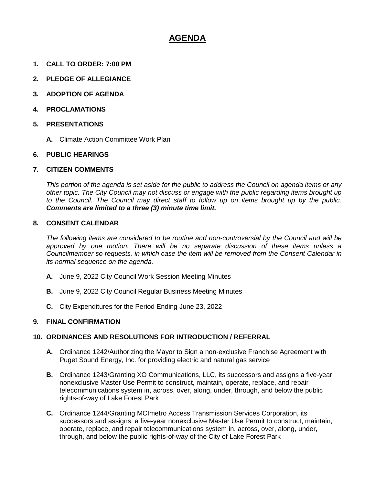# **AGENDA**

- **1. CALL TO ORDER: 7:00 PM**
- **2. PLEDGE OF ALLEGIANCE**
- **3. ADOPTION OF AGENDA**
- **4. PROCLAMATIONS**
- **5. PRESENTATIONS**
	- **A.** Climate Action Committee Work Plan

## **6. PUBLIC HEARINGS**

#### **7. CITIZEN COMMENTS**

*This portion of the agenda is set aside for the public to address the Council on agenda items or any other topic. The City Council may not discuss or engage with the public regarding items brought up to the Council. The Council may direct staff to follow up on items brought up by the public. Comments are limited to a three (3) minute time limit.*

#### **8. CONSENT CALENDAR**

*The following items are considered to be routine and non-controversial by the Council and will be approved by one motion. There will be no separate discussion of these items unless a Councilmember so requests, in which case the item will be removed from the Consent Calendar in its normal sequence on the agenda.*

- **A.** June 9, 2022 City Council Work Session Meeting Minutes
- **B.** June 9, 2022 City Council Regular Business Meeting Minutes
- **C.** City Expenditures for the Period Ending June 23, 2022

## **9. FINAL CONFIRMATION**

## **10. ORDINANCES AND RESOLUTIONS FOR INTRODUCTION / REFERRAL**

- **A.** Ordinance 1242/Authorizing the Mayor to Sign a non-exclusive Franchise Agreement with Puget Sound Energy, Inc. for providing electric and natural gas service
- **B.** Ordinance 1243/Granting XO Communications, LLC, its successors and assigns a five-year nonexclusive Master Use Permit to construct, maintain, operate, replace, and repair telecommunications system in, across, over, along, under, through, and below the public rights-of-way of Lake Forest Park
- **C.** Ordinance 1244/Granting MCImetro Access Transmission Services Corporation, its successors and assigns, a five-year nonexclusive Master Use Permit to construct, maintain, operate, replace, and repair telecommunications system in, across, over, along, under, through, and below the public rights-of-way of the City of Lake Forest Park